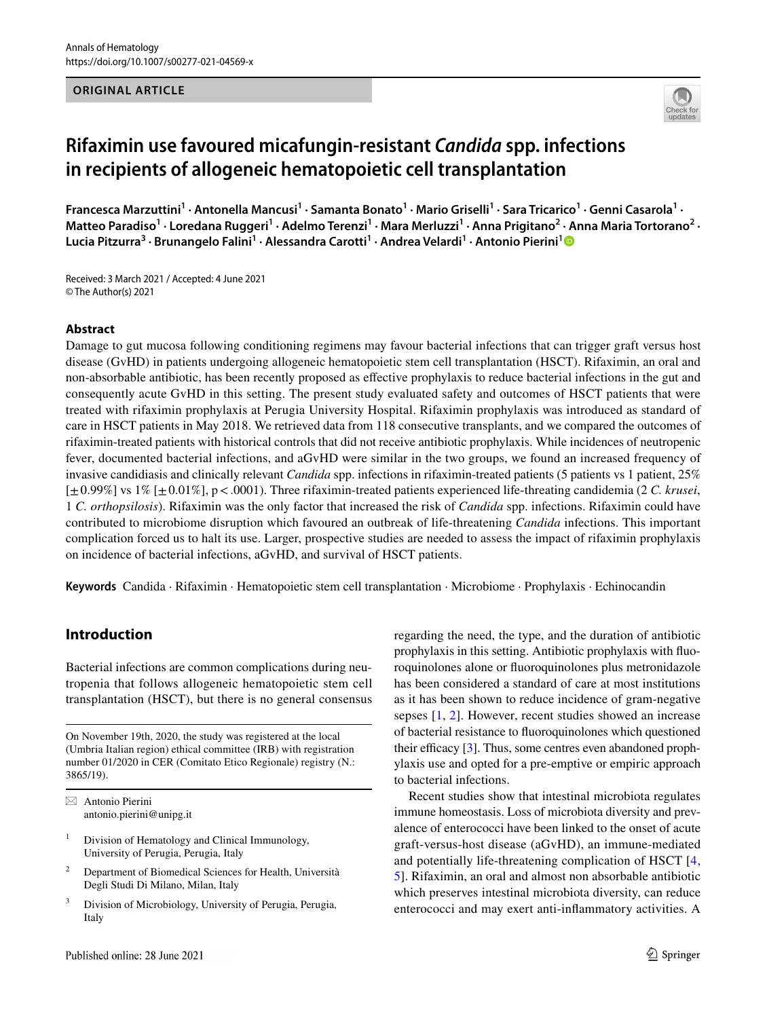#### **ORIGINAL ARTICLE**



# **Rifaximin use favoured micafungin‑resistant** *Candida* **spp. infections in recipients of allogeneic hematopoietic cell transplantation**

Francesca Marzuttini<sup>1</sup> · Antonella Mancusi<sup>1</sup> · Samanta Bonato<sup>1</sup> · Mario Griselli<sup>1</sup> · Sara Tricarico<sup>1</sup> · Genni Casarola<sup>1</sup> · Matteo Paradiso<sup>1</sup> · Loredana Ruggeri<sup>1</sup> · Adelmo Terenzi<sup>1</sup> · Mara Merluzzi<sup>1</sup> · Anna Prigitano<sup>2</sup> · Anna Maria Tortorano<sup>2</sup> · **Lucia Pitzurra3 · Brunangelo Falini1 · Alessandra Carotti1 · Andrea Velardi1 · Antonio Pierini[1](http://orcid.org/0000-0003-3518-0665)**

Received: 3 March 2021 / Accepted: 4 June 2021 © The Author(s) 2021

#### **Abstract**

Damage to gut mucosa following conditioning regimens may favour bacterial infections that can trigger graft versus host disease (GvHD) in patients undergoing allogeneic hematopoietic stem cell transplantation (HSCT). Rifaximin, an oral and non-absorbable antibiotic, has been recently proposed as efective prophylaxis to reduce bacterial infections in the gut and consequently acute GvHD in this setting. The present study evaluated safety and outcomes of HSCT patients that were treated with rifaximin prophylaxis at Perugia University Hospital. Rifaximin prophylaxis was introduced as standard of care in HSCT patients in May 2018. We retrieved data from 118 consecutive transplants, and we compared the outcomes of rifaximin-treated patients with historical controls that did not receive antibiotic prophylaxis. While incidences of neutropenic fever, documented bacterial infections, and aGvHD were similar in the two groups, we found an increased frequency of invasive candidiasis and clinically relevant *Candida* spp. infections in rifaximin-treated patients (5 patients vs 1 patient, 25% [±0.99%] vs 1% [±0.01%], p<.0001). Three rifaximin-treated patients experienced life-threating candidemia (2 *C. krusei*, 1 *C. orthopsilosis*). Rifaximin was the only factor that increased the risk of *Candida* spp. infections. Rifaximin could have contributed to microbiome disruption which favoured an outbreak of life-threatening *Candida* infections. This important complication forced us to halt its use. Larger, prospective studies are needed to assess the impact of rifaximin prophylaxis on incidence of bacterial infections, aGvHD, and survival of HSCT patients.

**Keywords** Candida · Rifaximin · Hematopoietic stem cell transplantation · Microbiome · Prophylaxis · Echinocandin

# **Introduction**

Bacterial infections are common complications during neutropenia that follows allogeneic hematopoietic stem cell transplantation (HSCT), but there is no general consensus

On November 19th, 2020, the study was registered at the local (Umbria Italian region) ethical committee (IRB) with registration number 01/2020 in CER (Comitato Etico Regionale) registry (N.: 3865/19).

 $\boxtimes$  Antonio Pierini antonio.pierini@unipg.it

 $1$  Division of Hematology and Clinical Immunology, University of Perugia, Perugia, Italy

- <sup>2</sup> Department of Biomedical Sciences for Health, Università Degli Studi Di Milano, Milan, Italy
- <sup>3</sup> Division of Microbiology, University of Perugia, Perugia, Italy

Published online: 28 June 2021

regarding the need, the type, and the duration of antibiotic prophylaxis in this setting. Antibiotic prophylaxis with fuoroquinolones alone or fuoroquinolones plus metronidazole has been considered a standard of care at most institutions as it has been shown to reduce incidence of gram-negative sepses [[1,](#page-5-0) [2](#page-5-1)]. However, recent studies showed an increase of bacterial resistance to fuoroquinolones which questioned their efficacy  $[3]$  $[3]$  $[3]$ . Thus, some centres even abandoned prophylaxis use and opted for a pre-emptive or empiric approach to bacterial infections.

Recent studies show that intestinal microbiota regulates immune homeostasis. Loss of microbiota diversity and prevalence of enterococci have been linked to the onset of acute graft-versus-host disease (aGvHD), an immune-mediated and potentially life-threatening complication of HSCT [[4,](#page-5-3) [5](#page-5-4)]. Rifaximin, an oral and almost non absorbable antibiotic which preserves intestinal microbiota diversity, can reduce enterococci and may exert anti-infammatory activities. A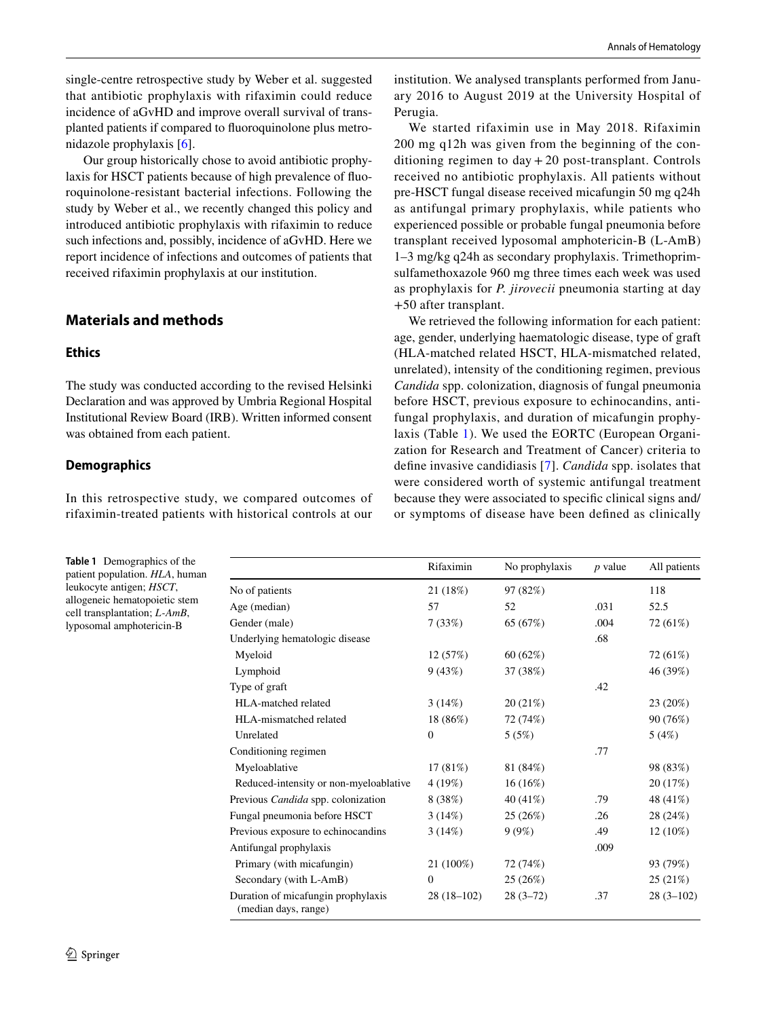single-centre retrospective study by Weber et al. suggested that antibiotic prophylaxis with rifaximin could reduce incidence of aGvHD and improve overall survival of transplanted patients if compared to fuoroquinolone plus metronidazole prophylaxis [[6\]](#page-5-5).

 Our group historically chose to avoid antibiotic prophylaxis for HSCT patients because of high prevalence of fuoroquinolone-resistant bacterial infections. Following the study by Weber et al., we recently changed this policy and introduced antibiotic prophylaxis with rifaximin to reduce such infections and, possibly, incidence of aGvHD. Here we report incidence of infections and outcomes of patients that received rifaximin prophylaxis at our institution.

# **Materials and methods**

#### **Ethics**

The study was conducted according to the revised Helsinki Declaration and was approved by Umbria Regional Hospital Institutional Review Board (IRB). Written informed consent was obtained from each patient.

#### **Demographics**

In this retrospective study, we compared outcomes of rifaximin-treated patients with historical controls at our

<span id="page-1-0"></span>**Table 1** Demographics of the patient population. *HLA*, human leukocyte antigen; *HSCT*, allogeneic hematopoietic stem cell transplantation; *L-AmB*, lyposomal amphotericin-B

institution. We analysed transplants performed from January 2016 to August 2019 at the University Hospital of Perugia.

We started rifaximin use in May 2018. Rifaximin 200 mg q12h was given from the beginning of the conditioning regimen to day + 20 post-transplant. Controls received no antibiotic prophylaxis. All patients without pre-HSCT fungal disease received micafungin 50 mg q24h as antifungal primary prophylaxis, while patients who experienced possible or probable fungal pneumonia before transplant received lyposomal amphotericin-B (L-AmB) 1–3 mg/kg q24h as secondary prophylaxis. Trimethoprimsulfamethoxazole 960 mg three times each week was used as prophylaxis for *P. jirovecii* pneumonia starting at day +50 after transplant.

We retrieved the following information for each patient: age, gender, underlying haematologic disease, type of graft (HLA-matched related HSCT, HLA-mismatched related, unrelated), intensity of the conditioning regimen, previous *Candida* spp. colonization, diagnosis of fungal pneumonia before HSCT, previous exposure to echinocandins, antifungal prophylaxis, and duration of micafungin prophylaxis (Table [1](#page-1-0)). We used the EORTC (European Organization for Research and Treatment of Cancer) criteria to defne invasive candidiasis [[7](#page-5-6)]. *Candida* spp. isolates that were considered worth of systemic antifungal treatment because they were associated to specifc clinical signs and/ or symptoms of disease have been defned as clinically

|                                                            | Rifaximin      | No prophylaxis | <i>p</i> value | All patients |
|------------------------------------------------------------|----------------|----------------|----------------|--------------|
| No of patients                                             | 21 (18%)       | 97 (82%)       |                | 118          |
| Age (median)                                               | 57             | 52             | .031           | 52.5         |
| Gender (male)                                              | 7(33%)         | 65 (67%)       | .004           | 72 (61%)     |
| Underlying hematologic disease                             |                |                | .68            |              |
| Myeloid                                                    | 12(57%)        | 60(62%)        |                | 72 (61%)     |
| Lymphoid                                                   | 9(43%)         | 37 (38%)       |                | 46 (39%)     |
| Type of graft                                              |                |                | .42            |              |
| HLA-matched related                                        | 3(14%)         | 20(21%)        |                | 23 (20%)     |
| HLA-mismatched related                                     | 18 (86%)       | 72 (74%)       |                | 90 (76%)     |
| Unrelated                                                  | $\overline{0}$ | 5(5%)          |                | 5(4%)        |
| Conditioning regimen                                       |                |                | .77            |              |
| Myeloablative                                              | 17(81%)        | 81 (84%)       |                | 98 (83%)     |
| Reduced-intensity or non-myeloablative                     | 4(19%)         | $16(16\%)$     |                | 20 (17%)     |
| Previous Candida spp. colonization                         | 8(38%)         | 40 (41%)       | .79            | 48 (41%)     |
| Fungal pneumonia before HSCT                               | 3(14%)         | 25 (26%)       | .26            | 28 (24%)     |
| Previous exposure to echinocandins                         | 3(14%)         | 9(9%)          | .49            | $12(10\%)$   |
| Antifungal prophylaxis                                     |                |                | .009           |              |
| Primary (with micafungin)                                  | 21 (100%)      | 72 (74%)       |                | 93 (79%)     |
| Secondary (with L-AmB)                                     | $\Omega$       | 25 (26%)       |                | 25(21%)      |
| Duration of micafungin prophylaxis<br>(median days, range) | $28(18-102)$   | $28(3-72)$     | .37            | $28(3-102)$  |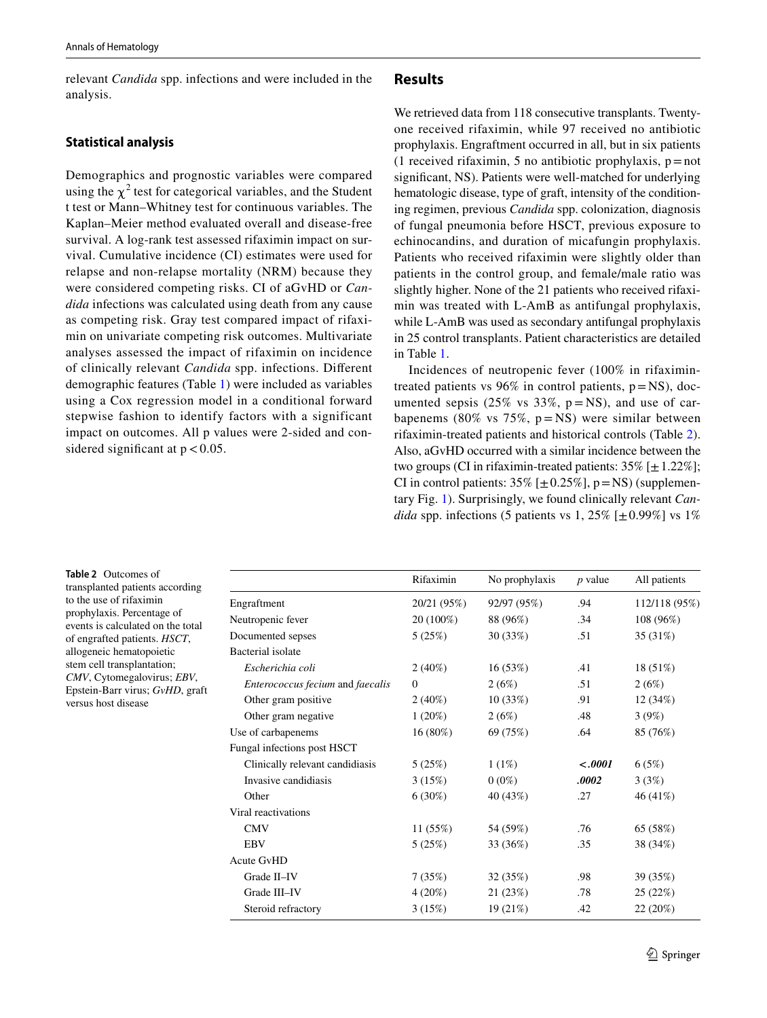relevant *Candida* spp. infections and were included in the analysis.

## **Statistical analysis**

Demographics and prognostic variables were compared using the  $\chi^2$  test for categorical variables, and the Student t test or Mann–Whitney test for continuous variables. The Kaplan–Meier method evaluated overall and disease-free survival. A log-rank test assessed rifaximin impact on survival. Cumulative incidence (CI) estimates were used for relapse and non-relapse mortality (NRM) because they were considered competing risks. CI of aGvHD or *Candida* infections was calculated using death from any cause as competing risk. Gray test compared impact of rifaximin on univariate competing risk outcomes. Multivariate analyses assessed the impact of rifaximin on incidence of clinically relevant *Candida* spp. infections. Diferent demographic features (Table [1\)](#page-1-0) were included as variables using a Cox regression model in a conditional forward stepwise fashion to identify factors with a significant impact on outcomes. All p values were 2-sided and considered significant at  $p < 0.05$ .

### **Results**

We retrieved data from 118 consecutive transplants. Twentyone received rifaximin, while 97 received no antibiotic prophylaxis. Engraftment occurred in all, but in six patients (1 received rifaximin, 5 no antibiotic prophylaxis,  $p = not$ ) signifcant, NS). Patients were well-matched for underlying hematologic disease, type of graft, intensity of the conditioning regimen, previous *Candida* spp. colonization, diagnosis of fungal pneumonia before HSCT, previous exposure to echinocandins, and duration of micafungin prophylaxis. Patients who received rifaximin were slightly older than patients in the control group, and female/male ratio was slightly higher. None of the 21 patients who received rifaximin was treated with L-AmB as antifungal prophylaxis, while L-AmB was used as secondary antifungal prophylaxis in 25 control transplants. Patient characteristics are detailed in Table [1.](#page-1-0)

Incidences of neutropenic fever (100% in rifaximintreated patients vs  $96\%$  in control patients,  $p = NS$ ), documented sepsis (25% vs 33%,  $p = NS$ ), and use of carbapenems (80% vs 75%,  $p = NS$ ) were similar between rifaximin-treated patients and historical controls (Table [2](#page-2-0)). Also, aGvHD occurred with a similar incidence between the two groups (CI in rifaximin-treated patients:  $35\%$  [ $\pm$  1.22%]; CI in control patients:  $35\%$  [ $\pm 0.25\%$ ], p=NS) (supplementary Fig. 1). Surprisingly, we found clinically relevant *Candida* spp. infections (5 patients vs 1, 25%  $[\pm 0.99\%]$  vs 1%

<span id="page-2-0"></span>**Table 2** Outcomes of transplanted patients according to the use of rifaximin prophylaxis. Percentage of events is calculated on the total of engrafted patients. *HSCT*, allogeneic hematopoietic stem cell transplantation; *CMV*, Cytomegalovirus; *EBV*, Epstein-Barr virus; *GvHD*, graft versus host disease

|                                  | Rifaximin      | No prophylaxis | $p$ value | All patients  |
|----------------------------------|----------------|----------------|-----------|---------------|
| Engraftment                      | 20/21 (95%)    | 92/97 (95%)    | .94       | 112/118 (95%) |
| Neutropenic fever                | 20 (100%)      | 88 (96%)       | .34       | 108 (96%)     |
| Documented sepses                | 5(25%)         | 30 (33%)       | .51       | 35 (31%)      |
| <b>Bacterial</b> isolate         |                |                |           |               |
| Escherichia coli                 | $2(40\%)$      | 16(53%)        | .41       | $18(51\%)$    |
| Enterococcus fecium and faecalis | $\overline{0}$ | 2(6%)          | .51       | 2(6%)         |
| Other gram positive              | $2(40\%)$      | 10(33%)        | .91       | 12(34%)       |
| Other gram negative              | $1(20\%)$      | 2(6%)          | .48       | 3(9%)         |
| Use of carbapenems               | $16(80\%)$     | 69 (75%)       | .64       | 85 (76%)      |
| Fungal infections post HSCT      |                |                |           |               |
| Clinically relevant candidiasis  | 5(25%)         | 1(1%)          | $-.0001$  | 6(5%)         |
| Invasive candidiasis             | 3(15%)         | $0(0\%)$       | .0002     | 3(3%)         |
| Other                            | $6(30\%)$      | 40 (43%)       | .27       | 46 (41%)      |
| Viral reactivations              |                |                |           |               |
| <b>CMV</b>                       | 11(55%)        | 54 (59%)       | .76       | 65 (58%)      |
| <b>EBV</b>                       | 5(25%)         | 33 (36%)       | .35       | 38 (34%)      |
| <b>Acute GvHD</b>                |                |                |           |               |
| Grade II-IV                      | 7(35%)         | 32 (35%)       | .98       | 39 (35%)      |
| Grade III-IV                     | $4(20\%)$      | 21 (23%)       | .78       | 25 (22%)      |
| Steroid refractory               | 3(15%)         | 19 (21%)       | .42       | 22 (20%)      |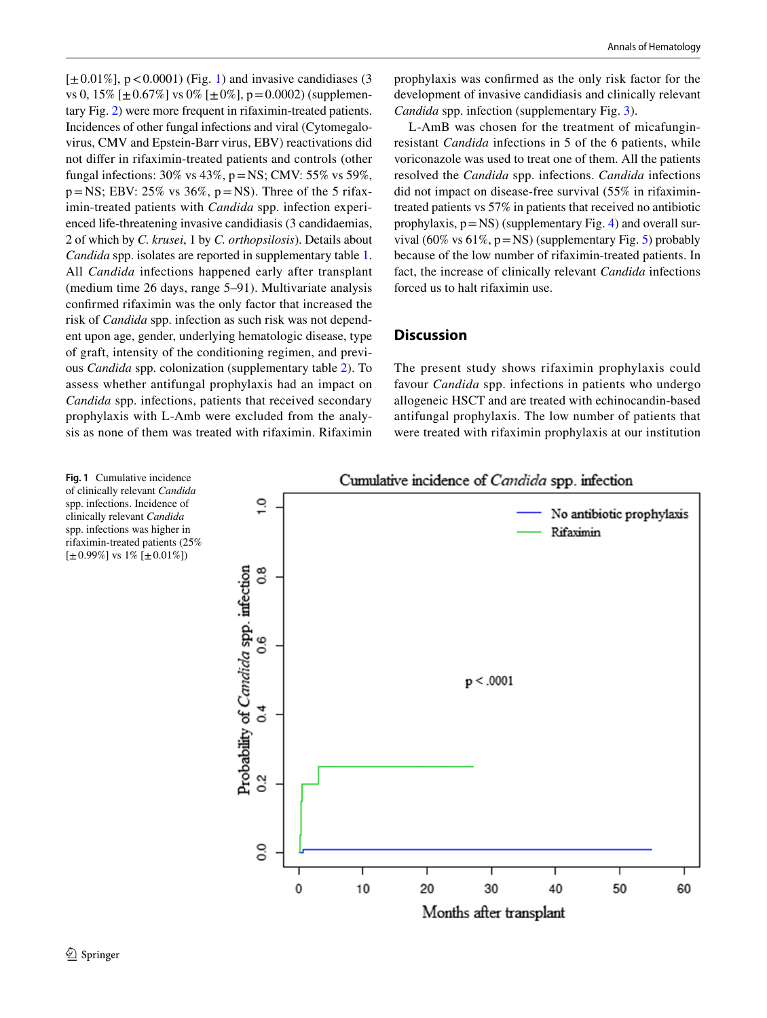$[\pm 0.01\%]$  $[\pm 0.01\%]$  $[\pm 0.01\%]$ , p < 0.0001) (Fig. 1) and invasive candidiases (3) vs 0, 15%  $[\pm 0.67\%]$  vs 0%  $[\pm 0\%]$ , p=0.0002) (supplementary Fig. 2) were more frequent in rifaximin-treated patients. Incidences of other fungal infections and viral (Cytomegalovirus, CMV and Epstein-Barr virus, EBV) reactivations did not difer in rifaximin-treated patients and controls (other fungal infections:  $30\%$  vs  $43\%$ ,  $p = NS$ ; CMV:  $55\%$  vs  $59\%$ ,  $p = NS$ ; EBV: 25% vs 36%,  $p = NS$ ). Three of the 5 rifaximin-treated patients with *Candida* spp. infection experienced life-threatening invasive candidiasis (3 candidaemias, 2 of which by *C. krusei*, 1 by *C. orthopsilosis*). Details about *Candida* spp. isolates are reported in supplementary table 1. All *Candida* infections happened early after transplant (medium time 26 days, range 5–91). Multivariate analysis confrmed rifaximin was the only factor that increased the risk of *Candida* spp. infection as such risk was not dependent upon age, gender, underlying hematologic disease, type of graft, intensity of the conditioning regimen, and previous *Candida* spp. colonization (supplementary table 2). To assess whether antifungal prophylaxis had an impact on *Candida* spp. infections, patients that received secondary prophylaxis with L-Amb were excluded from the analysis as none of them was treated with rifaximin. Rifaximin prophylaxis was confrmed as the only risk factor for the development of invasive candidiasis and clinically relevant *Candida* spp. infection (supplementary Fig. 3).

L-AmB was chosen for the treatment of micafunginresistant *Candida* infections in 5 of the 6 patients, while voriconazole was used to treat one of them. All the patients resolved the *Candida* spp. infections. *Candida* infections did not impact on disease-free survival (55% in rifaximintreated patients vs 57% in patients that received no antibiotic prophylaxis,  $p=NS$ ) (supplementary Fig. 4) and overall survival (60% vs 61%, p=NS) (supplementary Fig. 5) probably because of the low number of rifaximin-treated patients. In fact, the increase of clinically relevant *Candida* infections forced us to halt rifaximin use.

## **Discussion**

The present study shows rifaximin prophylaxis could favour *Candida* spp. infections in patients who undergo allogeneic HSCT and are treated with echinocandin-based antifungal prophylaxis. The low number of patients that were treated with rifaximin prophylaxis at our institution



<span id="page-3-0"></span>**Fig. 1** Cumulative incidence of clinically relevant *Candida* spp. infections. Incidence of clinically relevant *Candida* spp. infections was higher in rifaximin-treated patients (25%  $[\pm 0.99\%]$  vs 1%  $[\pm 0.01\%]$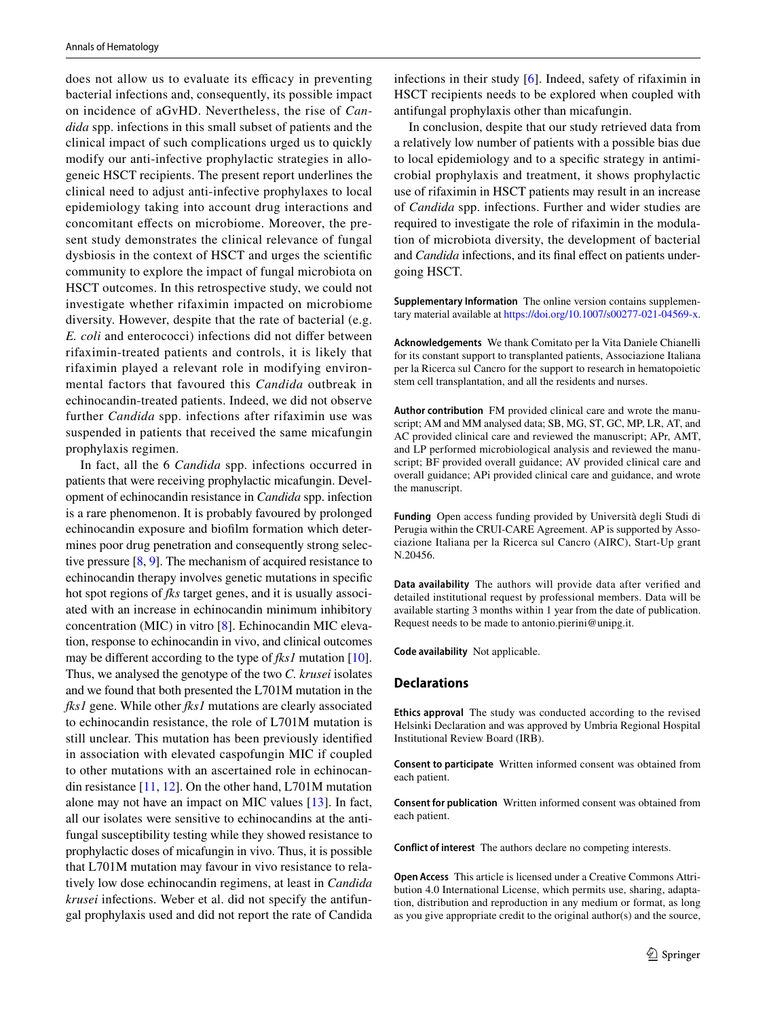does not allow us to evaluate its efficacy in preventing bacterial infections and, consequently, its possible impact on incidence of aGvHD. Nevertheless, the rise of *Candida* spp. infections in this small subset of patients and the clinical impact of such complications urged us to quickly modify our anti-infective prophylactic strategies in allogeneic HSCT recipients. The present report underlines the clinical need to adjust anti-infective prophylaxes to local epidemiology taking into account drug interactions and concomitant efects on microbiome. Moreover, the present study demonstrates the clinical relevance of fungal dysbiosis in the context of HSCT and urges the scientifc community to explore the impact of fungal microbiota on HSCT outcomes. In this retrospective study, we could not investigate whether rifaximin impacted on microbiome diversity. However, despite that the rate of bacterial (e.g. *E. coli* and enterococci) infections did not difer between rifaximin-treated patients and controls, it is likely that rifaximin played a relevant role in modifying environmental factors that favoured this *Candida* outbreak in echinocandin-treated patients. Indeed, we did not observe further *Candida* spp. infections after rifaximin use was suspended in patients that received the same micafungin prophylaxis regimen.

In fact, all the 6 *Candida* spp. infections occurred in patients that were receiving prophylactic micafungin. Development of echinocandin resistance in *Candida* spp. infection is a rare phenomenon. It is probably favoured by prolonged echinocandin exposure and bioflm formation which determines poor drug penetration and consequently strong selective pressure  $[8, 9]$  $[8, 9]$  $[8, 9]$ . The mechanism of acquired resistance to echinocandin therapy involves genetic mutations in specifc hot spot regions of *fks* target genes, and it is usually associated with an increase in echinocandin minimum inhibitory concentration (MIC) in vitro [[8](#page-5-7)]. Echinocandin MIC elevation, response to echinocandin in vivo, and clinical outcomes may be diferent according to the type of *fks1* mutation [\[10](#page-5-9)]. Thus, we analysed the genotype of the two *C. krusei* isolates and we found that both presented the L701M mutation in the *fks1* gene. While other *fks1* mutations are clearly associated to echinocandin resistance, the role of L701M mutation is still unclear. This mutation has been previously identifed in association with elevated caspofungin MIC if coupled to other mutations with an ascertained role in echinocandin resistance [\[11](#page-5-10), [12](#page-5-11)]. On the other hand, L701M mutation alone may not have an impact on MIC values [[13\]](#page-5-12). In fact, all our isolates were sensitive to echinocandins at the antifungal susceptibility testing while they showed resistance to prophylactic doses of micafungin in vivo. Thus, it is possible that L701M mutation may favour in vivo resistance to relatively low dose echinocandin regimens, at least in *Candida krusei* infections. Weber et al. did not specify the antifungal prophylaxis used and did not report the rate of Candida

infections in their study [[6](#page-5-5)]. Indeed, safety of rifaximin in HSCT recipients needs to be explored when coupled with antifungal prophylaxis other than micafungin.

In conclusion, despite that our study retrieved data from a relatively low number of patients with a possible bias due to local epidemiology and to a specifc strategy in antimicrobial prophylaxis and treatment, it shows prophylactic use of rifaximin in HSCT patients may result in an increase of *Candida* spp. infections. Further and wider studies are required to investigate the role of rifaximin in the modulation of microbiota diversity, the development of bacterial and *Candida* infections, and its fnal efect on patients undergoing HSCT.

**Supplementary Information** The online version contains supplementary material available at<https://doi.org/10.1007/s00277-021-04569-x>.

**Acknowledgements** We thank Comitato per la Vita Daniele Chianelli for its constant support to transplanted patients, Associazione Italiana per la Ricerca sul Cancro for the support to research in hematopoietic stem cell transplantation, and all the residents and nurses.

**Author contribution** FM provided clinical care and wrote the manuscript; AM and MM analysed data; SB, MG, ST, GC, MP, LR, AT, and AC provided clinical care and reviewed the manuscript; APr, AMT, and LP performed microbiological analysis and reviewed the manuscript; BF provided overall guidance; AV provided clinical care and overall guidance; APi provided clinical care and guidance, and wrote the manuscript.

**Funding** Open access funding provided by Università degli Studi di Perugia within the CRUI-CARE Agreement. AP is supported by Associazione Italiana per la Ricerca sul Cancro (AIRC), Start-Up grant N.20456.

**Data availability** The authors will provide data after verifed and detailed institutional request by professional members. Data will be available starting 3 months within 1 year from the date of publication. Request needs to be made to antonio.pierini@unipg.it.

**Code availability** Not applicable.

#### **Declarations**

**Ethics approval** The study was conducted according to the revised Helsinki Declaration and was approved by Umbria Regional Hospital Institutional Review Board (IRB).

**Consent to participate** Written informed consent was obtained from each patient.

**Consent for publication** Written informed consent was obtained from each patient.

**Conflict of interest** The authors declare no competing interests.

**Open Access** This article is licensed under a Creative Commons Attribution 4.0 International License, which permits use, sharing, adaptation, distribution and reproduction in any medium or format, as long as you give appropriate credit to the original author(s) and the source,